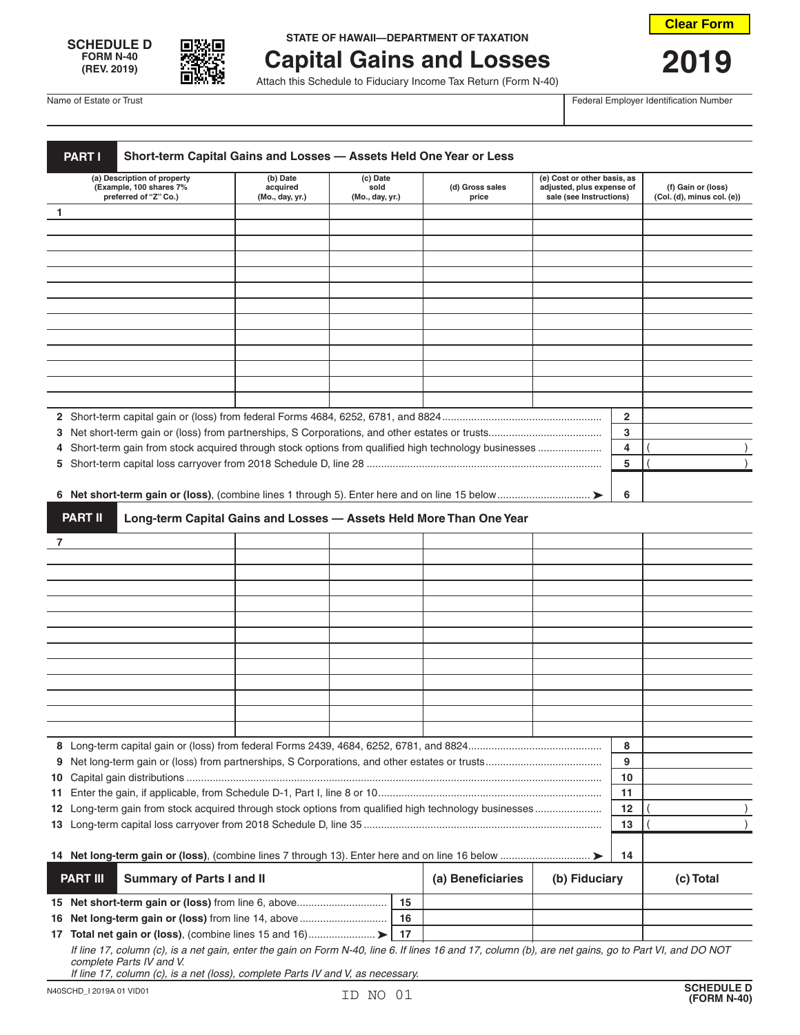



## **SCHEDULE D EXAMPLE STATE OF HAWAII—DEPARTMENT OF TAXATION**

## **Capital Gains and Losses 2019**<br>Attach this Schedule to Fiduciary Income Tax Return (Form N-40)

**Clear Form**

Name of Estate or Trust Federal Employer Identification Number

| <b>PART I</b>                                       | Short-term Capital Gains and Losses - Assets Held One Year or Less                                                                                   |                                         |                                     |    |                          |                                                                                     |              |                                                  |
|-----------------------------------------------------|------------------------------------------------------------------------------------------------------------------------------------------------------|-----------------------------------------|-------------------------------------|----|--------------------------|-------------------------------------------------------------------------------------|--------------|--------------------------------------------------|
|                                                     | (a) Description of property<br>(Example, 100 shares 7%<br>preferred of "Z" Co.)                                                                      | (b) Date<br>acquired<br>(Mo., day, yr.) | (c) Date<br>sold<br>(Mo., day, yr.) |    | (d) Gross sales<br>price | (e) Cost or other basis, as<br>adjusted, plus expense of<br>sale (see Instructions) |              | (f) Gain or (loss)<br>(Col. (d), minus col. (e)) |
| 1                                                   |                                                                                                                                                      |                                         |                                     |    |                          |                                                                                     |              |                                                  |
|                                                     |                                                                                                                                                      |                                         |                                     |    |                          |                                                                                     |              |                                                  |
|                                                     |                                                                                                                                                      |                                         |                                     |    |                          |                                                                                     |              |                                                  |
|                                                     |                                                                                                                                                      |                                         |                                     |    |                          |                                                                                     |              |                                                  |
|                                                     |                                                                                                                                                      |                                         |                                     |    |                          |                                                                                     |              |                                                  |
|                                                     |                                                                                                                                                      |                                         |                                     |    |                          |                                                                                     |              |                                                  |
|                                                     |                                                                                                                                                      |                                         |                                     |    |                          |                                                                                     |              |                                                  |
|                                                     |                                                                                                                                                      |                                         |                                     |    |                          |                                                                                     |              |                                                  |
|                                                     |                                                                                                                                                      |                                         |                                     |    |                          |                                                                                     |              |                                                  |
|                                                     |                                                                                                                                                      |                                         |                                     |    |                          |                                                                                     |              |                                                  |
|                                                     |                                                                                                                                                      |                                         |                                     |    |                          |                                                                                     |              |                                                  |
|                                                     |                                                                                                                                                      |                                         |                                     |    |                          |                                                                                     |              |                                                  |
|                                                     |                                                                                                                                                      |                                         |                                     |    |                          |                                                                                     |              |                                                  |
|                                                     |                                                                                                                                                      |                                         |                                     |    |                          |                                                                                     | $\mathbf{2}$ |                                                  |
|                                                     |                                                                                                                                                      |                                         |                                     |    |                          |                                                                                     | 3            |                                                  |
|                                                     | 4 Short-term gain from stock acquired through stock options from qualified high technology businesses                                                |                                         |                                     |    |                          |                                                                                     | 4            |                                                  |
|                                                     |                                                                                                                                                      |                                         |                                     |    |                          |                                                                                     | 5            |                                                  |
|                                                     |                                                                                                                                                      |                                         |                                     |    |                          |                                                                                     |              |                                                  |
|                                                     |                                                                                                                                                      |                                         |                                     |    |                          |                                                                                     | 6            |                                                  |
|                                                     |                                                                                                                                                      |                                         |                                     |    |                          |                                                                                     |              |                                                  |
| <b>PART II</b>                                      | Long-term Capital Gains and Losses - Assets Held More Than One Year                                                                                  |                                         |                                     |    |                          |                                                                                     |              |                                                  |
| 7                                                   |                                                                                                                                                      |                                         |                                     |    |                          |                                                                                     |              |                                                  |
|                                                     |                                                                                                                                                      |                                         |                                     |    |                          |                                                                                     |              |                                                  |
|                                                     |                                                                                                                                                      |                                         |                                     |    |                          |                                                                                     |              |                                                  |
|                                                     |                                                                                                                                                      |                                         |                                     |    |                          |                                                                                     |              |                                                  |
|                                                     |                                                                                                                                                      |                                         |                                     |    |                          |                                                                                     |              |                                                  |
|                                                     |                                                                                                                                                      |                                         |                                     |    |                          |                                                                                     |              |                                                  |
|                                                     |                                                                                                                                                      |                                         |                                     |    |                          |                                                                                     |              |                                                  |
|                                                     |                                                                                                                                                      |                                         |                                     |    |                          |                                                                                     |              |                                                  |
|                                                     |                                                                                                                                                      |                                         |                                     |    |                          |                                                                                     |              |                                                  |
|                                                     |                                                                                                                                                      |                                         |                                     |    |                          |                                                                                     |              |                                                  |
|                                                     |                                                                                                                                                      |                                         |                                     |    |                          |                                                                                     |              |                                                  |
|                                                     |                                                                                                                                                      |                                         |                                     |    |                          |                                                                                     |              |                                                  |
|                                                     |                                                                                                                                                      |                                         |                                     |    |                          |                                                                                     |              |                                                  |
|                                                     |                                                                                                                                                      |                                         |                                     |    |                          |                                                                                     | 8            |                                                  |
|                                                     |                                                                                                                                                      |                                         |                                     |    |                          | 9                                                                                   |              |                                                  |
|                                                     |                                                                                                                                                      |                                         |                                     |    |                          |                                                                                     | 10           |                                                  |
| 11                                                  |                                                                                                                                                      |                                         |                                     |    |                          |                                                                                     | 11           |                                                  |
|                                                     | 12 Long-term gain from stock acquired through stock options from qualified high technology businesses                                                |                                         |                                     |    |                          |                                                                                     | 12           |                                                  |
|                                                     |                                                                                                                                                      |                                         |                                     |    |                          |                                                                                     | 13           |                                                  |
|                                                     |                                                                                                                                                      |                                         |                                     |    |                          |                                                                                     |              |                                                  |
|                                                     |                                                                                                                                                      |                                         |                                     |    |                          |                                                                                     | 14           |                                                  |
| <b>PART III</b><br><b>Summary of Parts I and II</b> |                                                                                                                                                      |                                         |                                     |    | (a) Beneficiaries        | (b) Fiduciary                                                                       |              | (c) Total                                        |
|                                                     | 15 Net short-term gain or (loss) from line 6, above                                                                                                  |                                         |                                     | 15 |                          |                                                                                     |              |                                                  |
|                                                     | 16 Net long-term gain or (loss) from line 14, above                                                                                                  |                                         |                                     | 16 |                          |                                                                                     |              |                                                  |
|                                                     | 17 Total net gain or (loss), (combine lines 15 and 16)                                                                                               |                                         |                                     | 17 |                          |                                                                                     |              |                                                  |
|                                                     | If line 17, column (c), is a net gain, enter the gain on Form N-40, line 6. If lines 16 and 17, column (b), are net gains, go to Part VI, and DO NOT |                                         |                                     |    |                          |                                                                                     |              |                                                  |